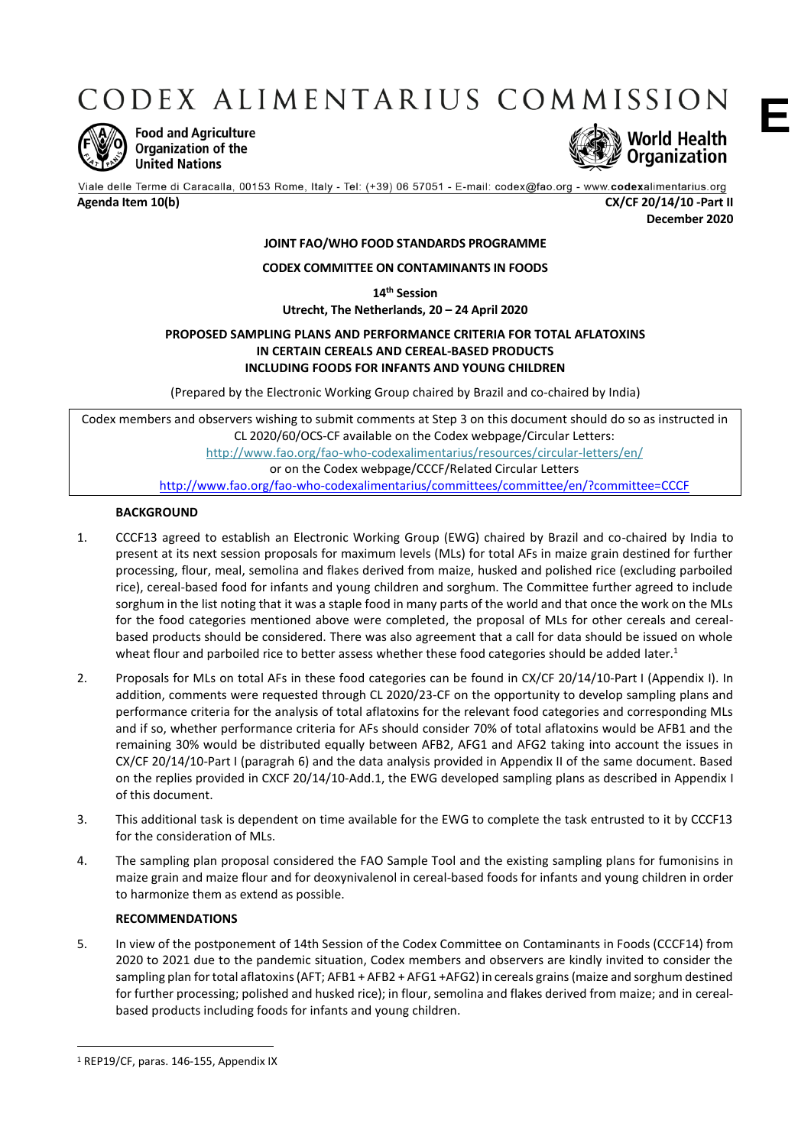CODEX ALIMENTARIUS COMMISSION



**Food and Agriculture** Organization of the **United Nations** 



Viale delle Terme di Caracalla, 00153 Rome, Italy - Tel: (+39) 06 57051 - E-mail: codex@fao.org - www.codexalimentarius.org **Agenda Item 10(b) CX/CF 20/14/10 -Part II**

**December 2020**

## **JOINT FAO/WHO FOOD STANDARDS PROGRAMME**

## **CODEX COMMITTEE ON CONTAMINANTS IN FOODS**

**14th Session Utrecht, The Netherlands, 20 – 24 April 2020**

# **PROPOSED SAMPLING PLANS AND PERFORMANCE CRITERIA FOR TOTAL AFLATOXINS IN CERTAIN CEREALS AND CEREAL-BASED PRODUCTS INCLUDING FOODS FOR INFANTS AND YOUNG CHILDREN**

(Prepared by the Electronic Working Group chaired by Brazil and co-chaired by India)

Codex members and observers wishing to submit comments at Step 3 on this document should do so as instructed in CL 2020/60/OCS-CF available on the Codex webpage/Circular Letters: <http://www.fao.org/fao-who-codexalimentarius/resources/circular-letters/en/> or on the Codex webpage/CCCF/Related Circular Letters <http://www.fao.org/fao-who-codexalimentarius/committees/committee/en/?committee=CCCF>

# **BACKGROUND**

- 1. CCCF13 agreed to establish an Electronic Working Group (EWG) chaired by Brazil and co-chaired by India to present at its next session proposals for maximum levels (MLs) for total AFs in maize grain destined for further processing, flour, meal, semolina and flakes derived from maize, husked and polished rice (excluding parboiled rice), cereal-based food for infants and young children and sorghum. The Committee further agreed to include sorghum in the list noting that it was a staple food in many parts of the world and that once the work on the MLs for the food categories mentioned above were completed, the proposal of MLs for other cereals and cerealbased products should be considered. There was also agreement that a call for data should be issued on whole wheat flour and parboiled rice to better assess whether these food categories should be added later.<sup>1</sup>
- 2. Proposals for MLs on total AFs in these food categories can be found in CX/CF 20/14/10-Part I (Appendix I). In addition, comments were requested through CL 2020/23-CF on the opportunity to develop sampling plans and performance criteria for the analysis of total aflatoxins for the relevant food categories and corresponding MLs and if so, whether performance criteria for AFs should consider 70% of total aflatoxins would be AFB1 and the remaining 30% would be distributed equally between AFB2, AFG1 and AFG2 taking into account the issues in CX/CF 20/14/10-Part I (paragrah 6) and the data analysis provided in Appendix II of the same document. Based on the replies provided in CXCF 20/14/10-Add.1, the EWG developed sampling plans as described in Appendix I of this document.
- 3. This additional task is dependent on time available for the EWG to complete the task entrusted to it by CCCF13 for the consideration of MLs.
- 4. The sampling plan proposal considered the FAO Sample Tool and the existing sampling plans for fumonisins in maize grain and maize flour and for deoxynivalenol in cereal-based foods for infants and young children in order to harmonize them as extend as possible.

## **RECOMMENDATIONS**

5. In view of the postponement of 14th Session of the Codex Committee on Contaminants in Foods (CCCF14) from 2020 to 2021 due to the pandemic situation, Codex members and observers are kindly invited to consider the sampling plan for total aflatoxins (AFT; AFB1 + AFB2 + AFG1 +AFG2) in cereals grains (maize and sorghum destined for further processing; polished and husked rice); in flour, semolina and flakes derived from maize; and in cerealbased products including foods for infants and young children.

**.** 

**E**

<sup>1</sup> REP19/CF, paras. 146-155, Appendix IX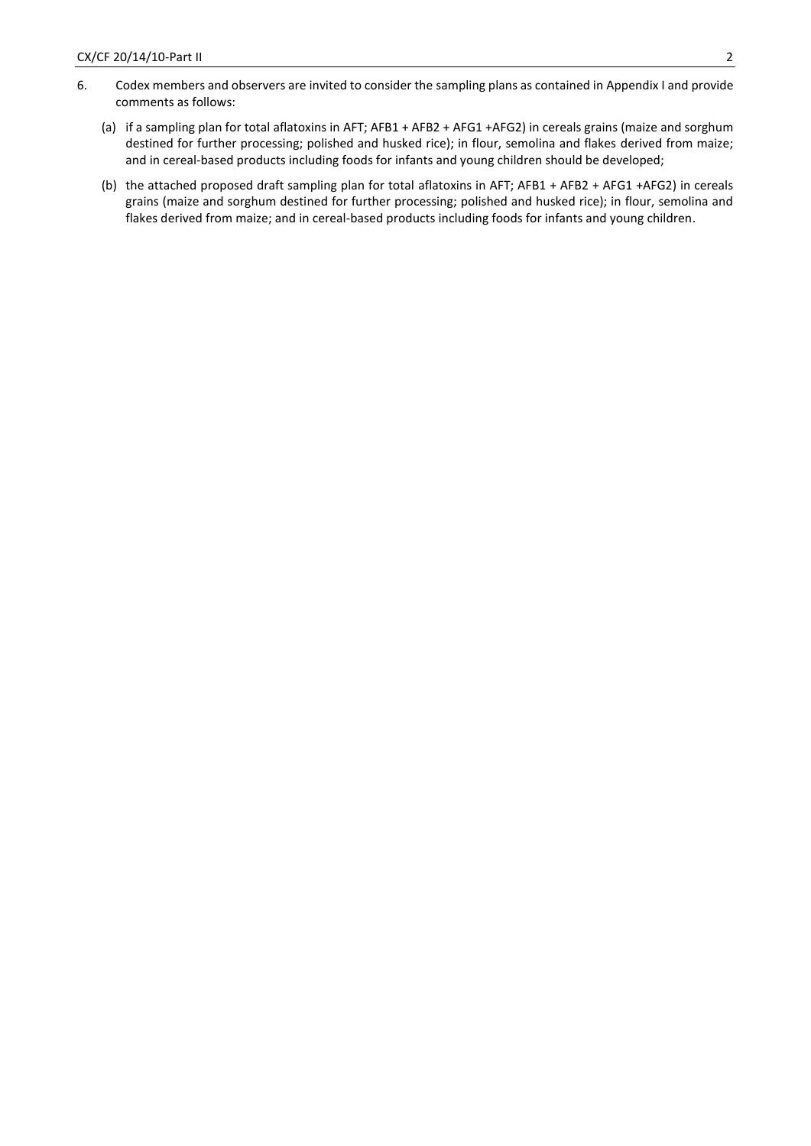- 6. Codex members and observers are invited to consider the sampling plans as contained in Appendix I and provide comments as follows:
	- (a) if a sampling plan for total aflatoxins in AFT; AFB1 + AFB2 + AFG1 +AFG2) in cereals grains (maize and sorghum destined for further processing; polished and husked rice); in flour, semolina and flakes derived from maize; and in cereal-based products including foods for infants and young children should be developed;
	- (b) the attached proposed draft sampling plan for total aflatoxins in AFT; AFB1 + AFB2 + AFG1 +AFG2) in cereals grains (maize and sorghum destined for further processing; polished and husked rice); in flour, semolina and flakes derived from maize; and in cereal-based products including foods for infants and young children.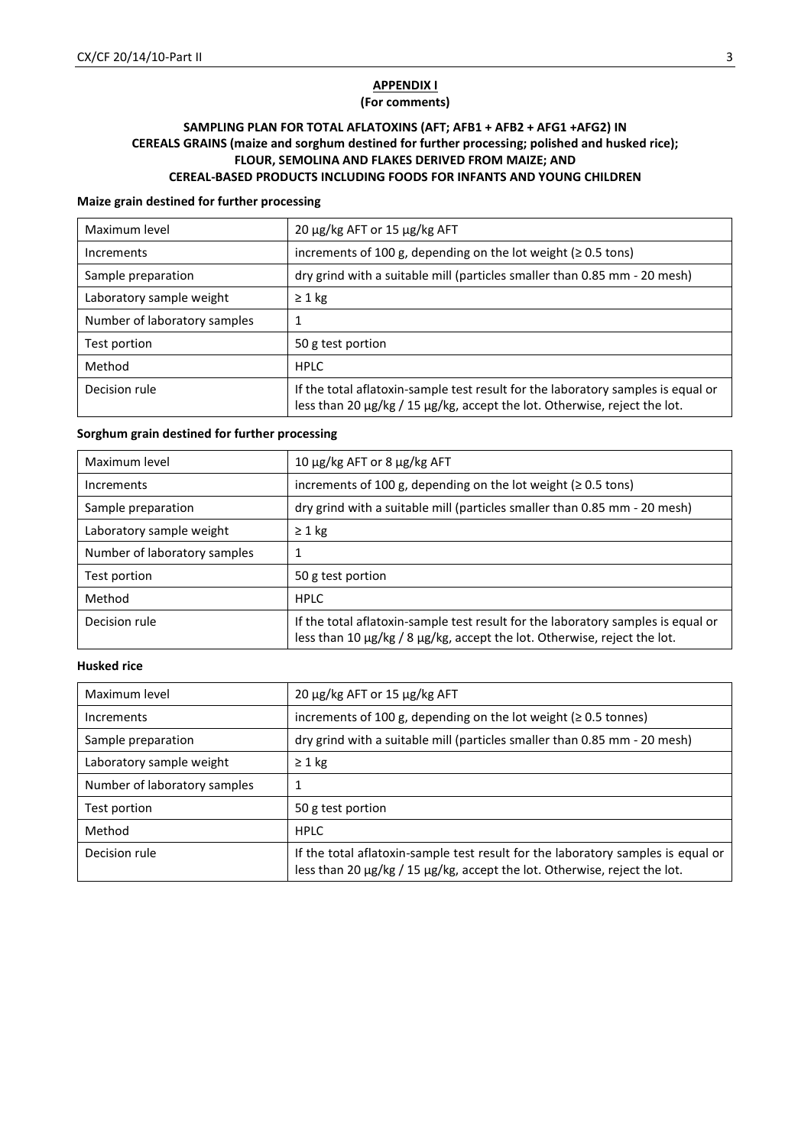# **APPENDIX I**

# **(For comments)**

# **SAMPLING PLAN FOR TOTAL AFLATOXINS (AFT; AFB1 + AFB2 + AFG1 +AFG2) IN CEREALS GRAINS (maize and sorghum destined for further processing; polished and husked rice); FLOUR, SEMOLINA AND FLAKES DERIVED FROM MAIZE; AND CEREAL-BASED PRODUCTS INCLUDING FOODS FOR INFANTS AND YOUNG CHILDREN**

#### **Maize grain destined for further processing**

| Maximum level                | 20 μg/kg AFT or 15 μg/kg AFT                                                                                                                                  |  |  |  |  |
|------------------------------|---------------------------------------------------------------------------------------------------------------------------------------------------------------|--|--|--|--|
| Increments                   | increments of 100 g, depending on the lot weight ( $\geq$ 0.5 tons)                                                                                           |  |  |  |  |
| Sample preparation           | dry grind with a suitable mill (particles smaller than 0.85 mm - 20 mesh)                                                                                     |  |  |  |  |
| Laboratory sample weight     | $\geq 1$ kg                                                                                                                                                   |  |  |  |  |
| Number of laboratory samples |                                                                                                                                                               |  |  |  |  |
| Test portion                 | 50 g test portion                                                                                                                                             |  |  |  |  |
| Method                       | <b>HPLC</b>                                                                                                                                                   |  |  |  |  |
| Decision rule                | If the total aflatoxin-sample test result for the laboratory samples is equal or<br>less than 20 µg/kg / 15 µg/kg, accept the lot. Otherwise, reject the lot. |  |  |  |  |

## **Sorghum grain destined for further processing**

| Maximum level                | 10 μg/kg AFT or 8 μg/kg AFT                                                                                                                                  |  |  |  |
|------------------------------|--------------------------------------------------------------------------------------------------------------------------------------------------------------|--|--|--|
| Increments                   | increments of 100 g, depending on the lot weight ( $\geq$ 0.5 tons)                                                                                          |  |  |  |
| Sample preparation           | dry grind with a suitable mill (particles smaller than 0.85 mm - 20 mesh)                                                                                    |  |  |  |
| Laboratory sample weight     | $\geq 1$ kg                                                                                                                                                  |  |  |  |
| Number of laboratory samples | 1                                                                                                                                                            |  |  |  |
| Test portion                 | 50 g test portion                                                                                                                                            |  |  |  |
| Method                       | <b>HPLC</b>                                                                                                                                                  |  |  |  |
| Decision rule                | If the total aflatoxin-sample test result for the laboratory samples is equal or<br>less than 10 µg/kg / 8 µg/kg, accept the lot. Otherwise, reject the lot. |  |  |  |

# **Husked rice**

| Maximum level                | 20 μg/kg AFT or 15 μg/kg AFT                                                                                                                                  |  |  |  |
|------------------------------|---------------------------------------------------------------------------------------------------------------------------------------------------------------|--|--|--|
| Increments                   | increments of 100 g, depending on the lot weight ( $\geq$ 0.5 tonnes)                                                                                         |  |  |  |
| Sample preparation           | dry grind with a suitable mill (particles smaller than 0.85 mm - 20 mesh)                                                                                     |  |  |  |
| Laboratory sample weight     | $\geq 1$ kg                                                                                                                                                   |  |  |  |
| Number of laboratory samples |                                                                                                                                                               |  |  |  |
| Test portion                 | 50 g test portion                                                                                                                                             |  |  |  |
| Method                       | <b>HPLC</b>                                                                                                                                                   |  |  |  |
| Decision rule                | If the total aflatoxin-sample test result for the laboratory samples is equal or<br>less than 20 µg/kg / 15 µg/kg, accept the lot. Otherwise, reject the lot. |  |  |  |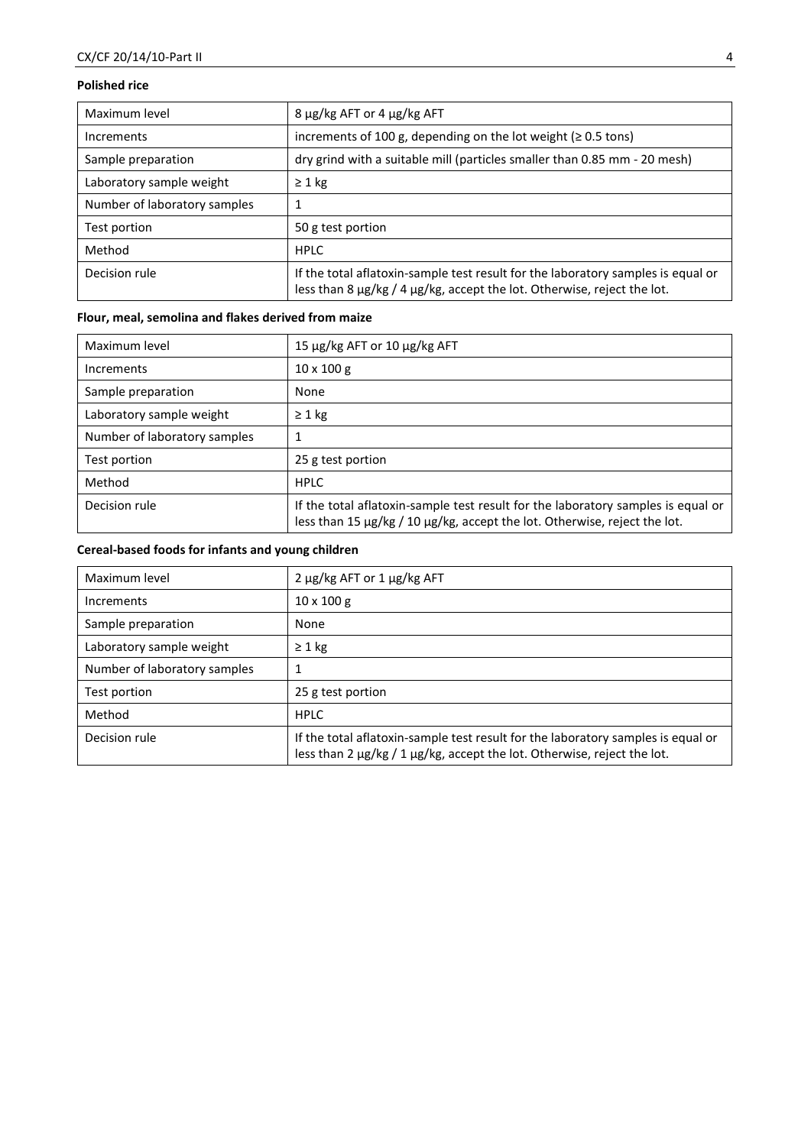# **Polished rice**

| Maximum level                | $8 \mu g/kg$ AFT or 4 $\mu g/kg$ AFT                                                                                                                        |  |  |  |  |
|------------------------------|-------------------------------------------------------------------------------------------------------------------------------------------------------------|--|--|--|--|
| Increments                   | increments of 100 g, depending on the lot weight ( $\geq$ 0.5 tons)                                                                                         |  |  |  |  |
| Sample preparation           | dry grind with a suitable mill (particles smaller than 0.85 mm - 20 mesh)                                                                                   |  |  |  |  |
| Laboratory sample weight     | $\geq 1$ kg                                                                                                                                                 |  |  |  |  |
| Number of laboratory samples | 1                                                                                                                                                           |  |  |  |  |
| Test portion                 | 50 g test portion                                                                                                                                           |  |  |  |  |
| Method                       | <b>HPLC</b>                                                                                                                                                 |  |  |  |  |
| Decision rule                | If the total aflatoxin-sample test result for the laboratory samples is equal or<br>less than 8 µg/kg / 4 µg/kg, accept the lot. Otherwise, reject the lot. |  |  |  |  |

# **Flour, meal, semolina and flakes derived from maize**

| Maximum level                | 15 μg/kg AFT or 10 μg/kg AFT                                                                                                                                  |  |  |  |
|------------------------------|---------------------------------------------------------------------------------------------------------------------------------------------------------------|--|--|--|
| Increments                   | $10 \times 100$ g                                                                                                                                             |  |  |  |
| Sample preparation           | None                                                                                                                                                          |  |  |  |
| Laboratory sample weight     | $\geq 1$ kg                                                                                                                                                   |  |  |  |
| Number of laboratory samples |                                                                                                                                                               |  |  |  |
| Test portion                 | 25 g test portion                                                                                                                                             |  |  |  |
| Method                       | <b>HPLC</b>                                                                                                                                                   |  |  |  |
| Decision rule                | If the total aflatoxin-sample test result for the laboratory samples is equal or<br>less than 15 µg/kg / 10 µg/kg, accept the lot. Otherwise, reject the lot. |  |  |  |

# **Cereal-based foods for infants and young children**

| Maximum level                | 2 μg/kg AFT or 1 μg/kg AFT                                                                                                                                  |
|------------------------------|-------------------------------------------------------------------------------------------------------------------------------------------------------------|
| Increments                   | $10 \times 100$ g                                                                                                                                           |
| Sample preparation           | None                                                                                                                                                        |
| Laboratory sample weight     | $\geq 1$ kg                                                                                                                                                 |
| Number of laboratory samples | 1                                                                                                                                                           |
| Test portion                 | 25 g test portion                                                                                                                                           |
| Method                       | <b>HPLC</b>                                                                                                                                                 |
| Decision rule                | If the total aflatoxin-sample test result for the laboratory samples is equal or<br>less than 2 µg/kg / 1 µg/kg, accept the lot. Otherwise, reject the lot. |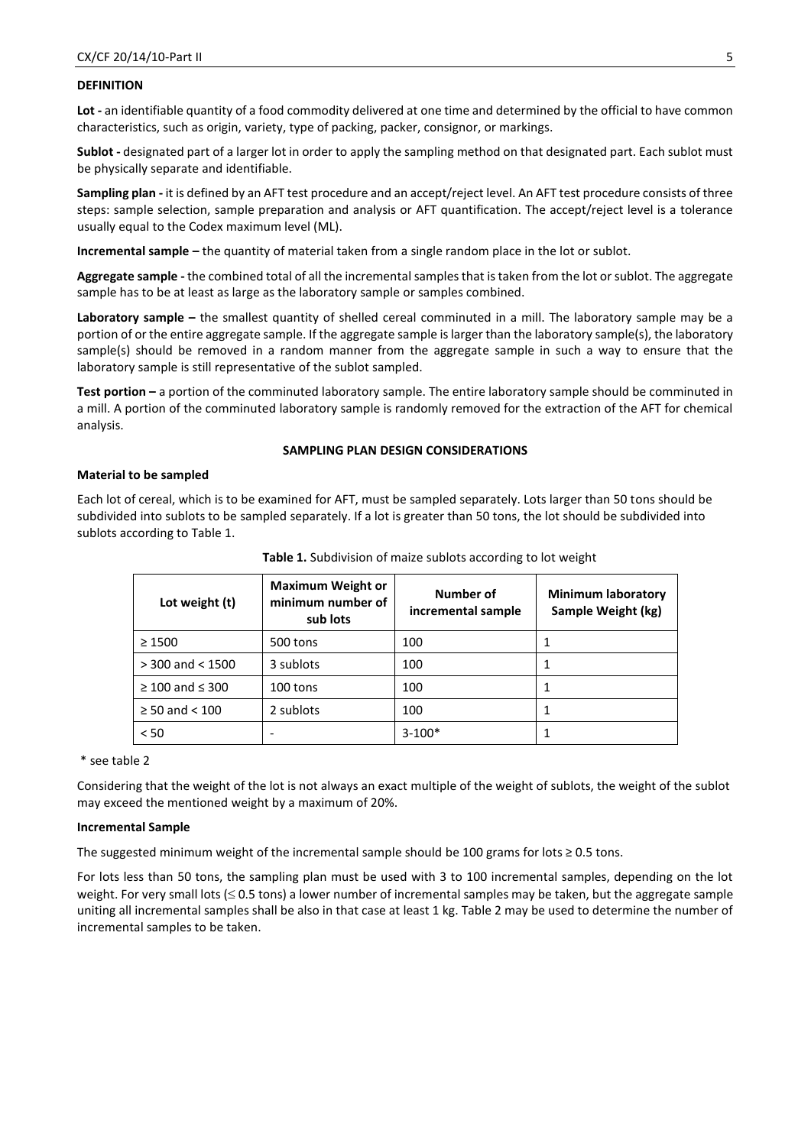## **DEFINITION**

**Lot -** an identifiable quantity of a food commodity delivered at one time and determined by the official to have common characteristics, such as origin, variety, type of packing, packer, consignor, or markings.

**Sublot -** designated part of a larger lot in order to apply the sampling method on that designated part. Each sublot must be physically separate and identifiable.

**Sampling plan -** it is defined by an AFT test procedure and an accept/reject level. An AFT test procedure consists of three steps: sample selection, sample preparation and analysis or AFT quantification. The accept/reject level is a tolerance usually equal to the Codex maximum level (ML).

**Incremental sample –** the quantity of material taken from a single random place in the lot or sublot.

**Aggregate sample -** the combined total of all the incremental samples that is taken from the lot or sublot. The aggregate sample has to be at least as large as the laboratory sample or samples combined.

**Laboratory sample –** the smallest quantity of shelled cereal comminuted in a mill. The laboratory sample may be a portion of or the entire aggregate sample. If the aggregate sample is larger than the laboratory sample(s), the laboratory sample(s) should be removed in a random manner from the aggregate sample in such a way to ensure that the laboratory sample is still representative of the sublot sampled.

**Test portion –** a portion of the comminuted laboratory sample. The entire laboratory sample should be comminuted in a mill. A portion of the comminuted laboratory sample is randomly removed for the extraction of the AFT for chemical analysis.

#### **SAMPLING PLAN DESIGN CONSIDERATIONS**

#### **Material to be sampled**

Each lot of cereal, which is to be examined for AFT, must be sampled separately. Lots larger than 50 tons should be subdivided into sublots to be sampled separately. If a lot is greater than 50 tons, the lot should be subdivided into sublots according to Table 1.

| Lot weight (t)            | <b>Maximum Weight or</b><br>minimum number of<br>sub lots | Number of<br>incremental sample | <b>Minimum laboratory</b><br>Sample Weight (kg) |
|---------------------------|-----------------------------------------------------------|---------------------------------|-------------------------------------------------|
| $\geq 1500$               | 500 tons                                                  | 100                             |                                                 |
| $> 300$ and $< 1500$      | 3 sublots                                                 | 100                             |                                                 |
| $\geq 100$ and $\leq 300$ | 100 tons                                                  | 100                             |                                                 |
| $\geq 50$ and $\lt 100$   | 2 sublots                                                 | 100                             |                                                 |
| < 50                      |                                                           | $3-100*$                        |                                                 |

**Table 1.** Subdivision of maize sublots according to lot weight

#### \* see table 2

Considering that the weight of the lot is not always an exact multiple of the weight of sublots, the weight of the sublot may exceed the mentioned weight by a maximum of 20%.

#### **Incremental Sample**

The suggested minimum weight of the incremental sample should be 100 grams for lots  $\geq 0.5$  tons.

For lots less than 50 tons, the sampling plan must be used with 3 to 100 incremental samples, depending on the lot weight. For very small lots ( $\leq$  0.5 tons) a lower number of incremental samples may be taken, but the aggregate sample uniting all incremental samples shall be also in that case at least 1 kg. Table 2 may be used to determine the number of incremental samples to be taken.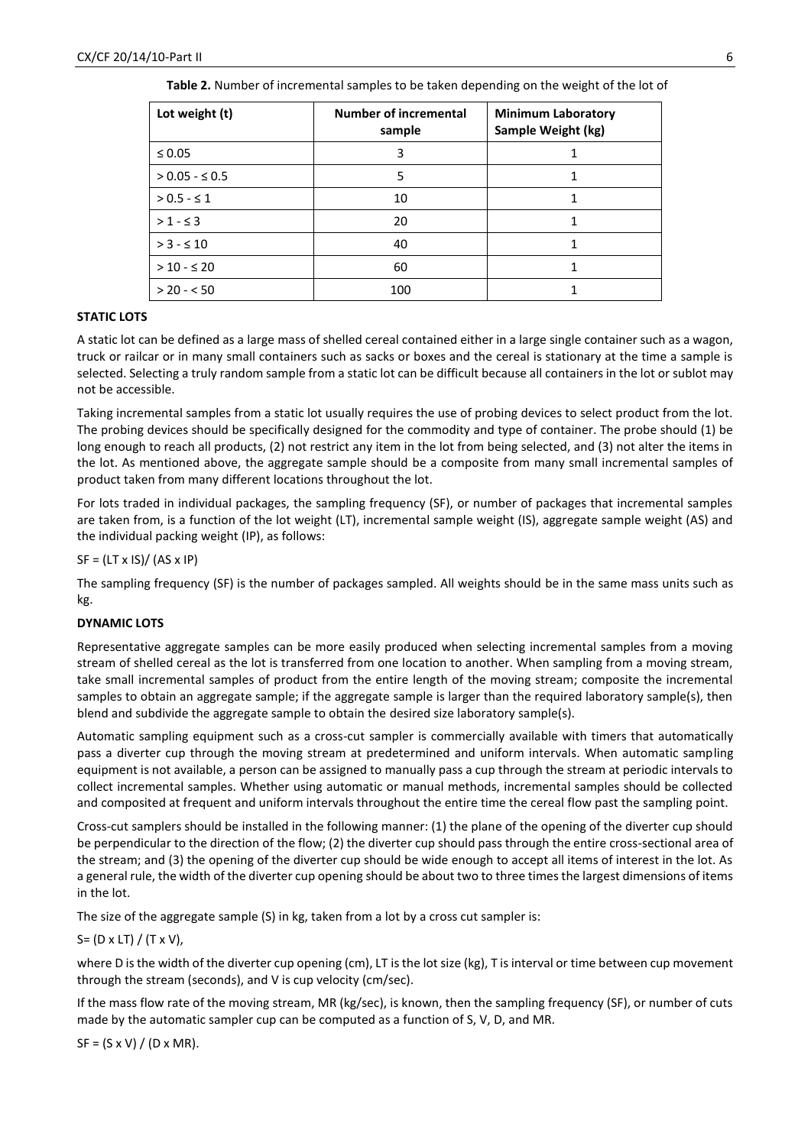| Lot weight (t)      | <b>Number of incremental</b><br>sample | <b>Minimum Laboratory</b><br>Sample Weight (kg) |  |
|---------------------|----------------------------------------|-------------------------------------------------|--|
| $\leq 0.05$         | 3                                      |                                                 |  |
| $> 0.05 - \leq 0.5$ | 5                                      |                                                 |  |
| $> 0.5 - 51$        | 10                                     |                                                 |  |
| $> 1 - 53$          | 20                                     |                                                 |  |
| $> 3 - 510$         | 40                                     |                                                 |  |
| $> 10 - 520$        | 60                                     |                                                 |  |
| $> 20 - 50$         | 100                                    |                                                 |  |

**Table 2.** Number of incremental samples to be taken depending on the weight of the lot of

# **STATIC LOTS**

A static lot can be defined as a large mass of shelled cereal contained either in a large single container such as a wagon, truck or railcar or in many small containers such as sacks or boxes and the cereal is stationary at the time a sample is selected. Selecting a truly random sample from a static lot can be difficult because all containers in the lot or sublot may not be accessible.

Taking incremental samples from a static lot usually requires the use of probing devices to select product from the lot. The probing devices should be specifically designed for the commodity and type of container. The probe should (1) be long enough to reach all products, (2) not restrict any item in the lot from being selected, and (3) not alter the items in the lot. As mentioned above, the aggregate sample should be a composite from many small incremental samples of product taken from many different locations throughout the lot.

For lots traded in individual packages, the sampling frequency (SF), or number of packages that incremental samples are taken from, is a function of the lot weight (LT), incremental sample weight (IS), aggregate sample weight (AS) and the individual packing weight (IP), as follows:

 $SF = (LT \times IS) / (AS \times IP)$ 

The sampling frequency (SF) is the number of packages sampled. All weights should be in the same mass units such as kg.

# **DYNAMIC LOTS**

Representative aggregate samples can be more easily produced when selecting incremental samples from a moving stream of shelled cereal as the lot is transferred from one location to another. When sampling from a moving stream, take small incremental samples of product from the entire length of the moving stream; composite the incremental samples to obtain an aggregate sample; if the aggregate sample is larger than the required laboratory sample(s), then blend and subdivide the aggregate sample to obtain the desired size laboratory sample(s).

Automatic sampling equipment such as a cross-cut sampler is commercially available with timers that automatically pass a diverter cup through the moving stream at predetermined and uniform intervals. When automatic sampling equipment is not available, a person can be assigned to manually pass a cup through the stream at periodic intervals to collect incremental samples. Whether using automatic or manual methods, incremental samples should be collected and composited at frequent and uniform intervals throughout the entire time the cereal flow past the sampling point.

Cross-cut samplers should be installed in the following manner: (1) the plane of the opening of the diverter cup should be perpendicular to the direction of the flow; (2) the diverter cup should pass through the entire cross-sectional area of the stream; and (3) the opening of the diverter cup should be wide enough to accept all items of interest in the lot. As a general rule, the width of the diverter cup opening should be about two to three times the largest dimensions of items in the lot.

The size of the aggregate sample (S) in kg, taken from a lot by a cross cut sampler is:

# $S = (D \times LT) / (Tx V),$

where D is the width of the diverter cup opening (cm), LT is the lot size (kg), T is interval or time between cup movement through the stream (seconds), and V is cup velocity (cm/sec).

If the mass flow rate of the moving stream, MR (kg/sec), is known, then the sampling frequency (SF), or number of cuts made by the automatic sampler cup can be computed as a function of S, V, D, and MR.

 $SF = (S \times V) / (D \times MR).$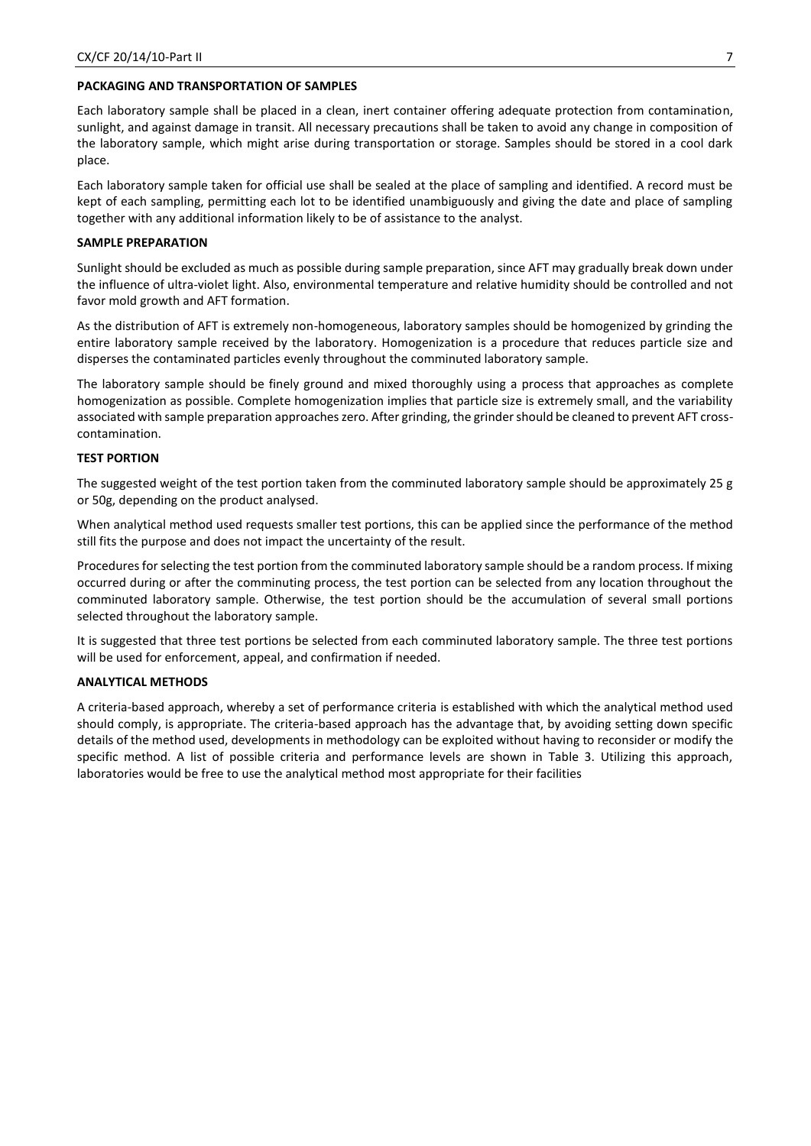#### **PACKAGING AND TRANSPORTATION OF SAMPLES**

Each laboratory sample shall be placed in a clean, inert container offering adequate protection from contamination, sunlight, and against damage in transit. All necessary precautions shall be taken to avoid any change in composition of the laboratory sample, which might arise during transportation or storage. Samples should be stored in a cool dark place.

Each laboratory sample taken for official use shall be sealed at the place of sampling and identified. A record must be kept of each sampling, permitting each lot to be identified unambiguously and giving the date and place of sampling together with any additional information likely to be of assistance to the analyst.

#### **SAMPLE PREPARATION**

Sunlight should be excluded as much as possible during sample preparation, since AFT may gradually break down under the influence of ultra-violet light. Also, environmental temperature and relative humidity should be controlled and not favor mold growth and AFT formation.

As the distribution of AFT is extremely non-homogeneous, laboratory samples should be homogenized by grinding the entire laboratory sample received by the laboratory. Homogenization is a procedure that reduces particle size and disperses the contaminated particles evenly throughout the comminuted laboratory sample.

The laboratory sample should be finely ground and mixed thoroughly using a process that approaches as complete homogenization as possible. Complete homogenization implies that particle size is extremely small, and the variability associated with sample preparation approaches zero. After grinding, the grinder should be cleaned to prevent AFT crosscontamination.

## **TEST PORTION**

The suggested weight of the test portion taken from the comminuted laboratory sample should be approximately 25 g or 50g, depending on the product analysed.

When analytical method used requests smaller test portions, this can be applied since the performance of the method still fits the purpose and does not impact the uncertainty of the result.

Procedures for selecting the test portion from the comminuted laboratory sample should be a random process. If mixing occurred during or after the comminuting process, the test portion can be selected from any location throughout the comminuted laboratory sample. Otherwise, the test portion should be the accumulation of several small portions selected throughout the laboratory sample.

It is suggested that three test portions be selected from each comminuted laboratory sample. The three test portions will be used for enforcement, appeal, and confirmation if needed.

#### **ANALYTICAL METHODS**

A criteria-based approach, whereby a set of performance criteria is established with which the analytical method used should comply, is appropriate. The criteria-based approach has the advantage that, by avoiding setting down specific details of the method used, developments in methodology can be exploited without having to reconsider or modify the specific method. A list of possible criteria and performance levels are shown in Table 3. Utilizing this approach, laboratories would be free to use the analytical method most appropriate for their facilities